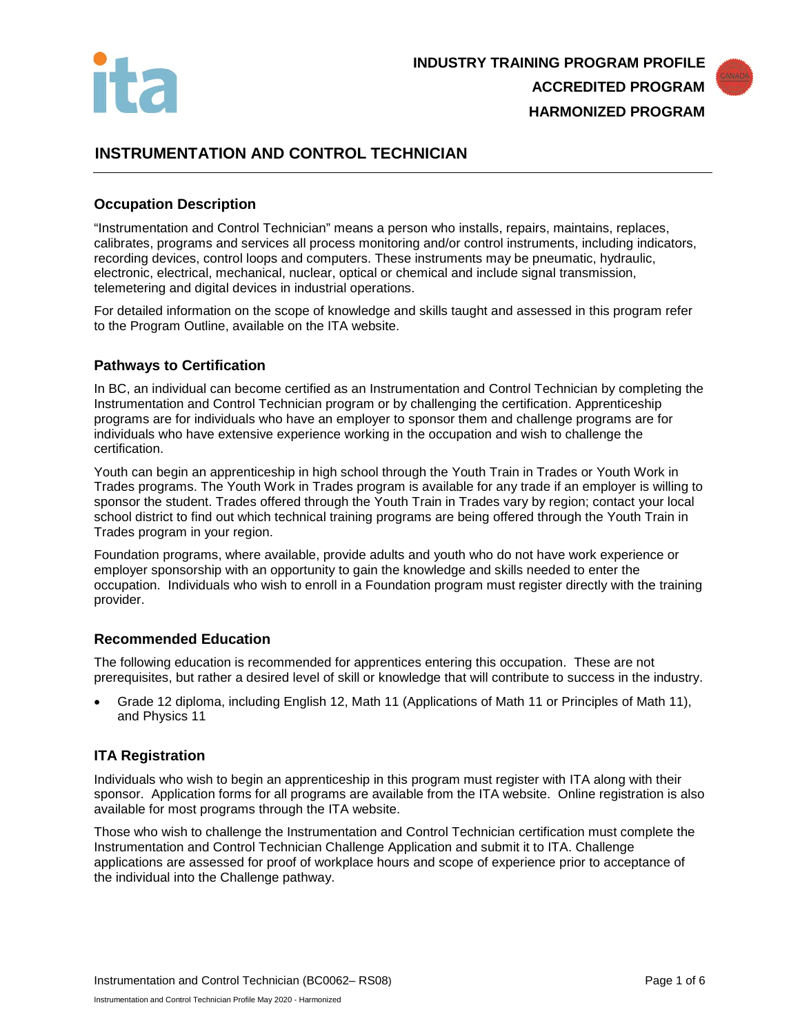



# **INSTRUMENTATION AND CONTROL TECHNICIAN**

### **Occupation Description**

"Instrumentation and Control Technician" means a person who installs, repairs, maintains, replaces, calibrates, programs and services all process monitoring and/or control instruments, including indicators, recording devices, control loops and computers. These instruments may be pneumatic, hydraulic, electronic, electrical, mechanical, nuclear, optical or chemical and include signal transmission, telemetering and digital devices in industrial operations.

For detailed information on the scope of knowledge and skills taught and assessed in this program refer to the Program Outline, available on the ITA website.

### **Pathways to Certification**

In BC, an individual can become certified as an Instrumentation and Control Technician by completing the Instrumentation and Control Technician program or by challenging the certification. Apprenticeship programs are for individuals who have an employer to sponsor them and challenge programs are for individuals who have extensive experience working in the occupation and wish to challenge the certification.

Youth can begin an apprenticeship in high school through the Youth Train in Trades or Youth Work in Trades programs. The Youth Work in Trades program is available for any trade if an employer is willing to sponsor the student. Trades offered through the Youth Train in Trades vary by region; contact your local school district to find out which technical training programs are being offered through the Youth Train in Trades program in your region.

Foundation programs, where available, provide adults and youth who do not have work experience or employer sponsorship with an opportunity to gain the knowledge and skills needed to enter the occupation. Individuals who wish to enroll in a Foundation program must register directly with the training provider.

#### **Recommended Education**

The following education is recommended for apprentices entering this occupation. These are not prerequisites, but rather a desired level of skill or knowledge that will contribute to success in the industry.

• Grade 12 diploma, including English 12, Math 11 (Applications of Math 11 or Principles of Math 11), and Physics 11

### **ITA Registration**

Individuals who wish to begin an apprenticeship in this program must register with ITA along with their sponsor. Application forms for all programs are available from the ITA website. Online registration is also available for most programs through the ITA website.

Those who wish to challenge the Instrumentation and Control Technician certification must complete the Instrumentation and Control Technician Challenge Application and submit it to ITA. Challenge applications are assessed for proof of workplace hours and scope of experience prior to acceptance of the individual into the Challenge pathway.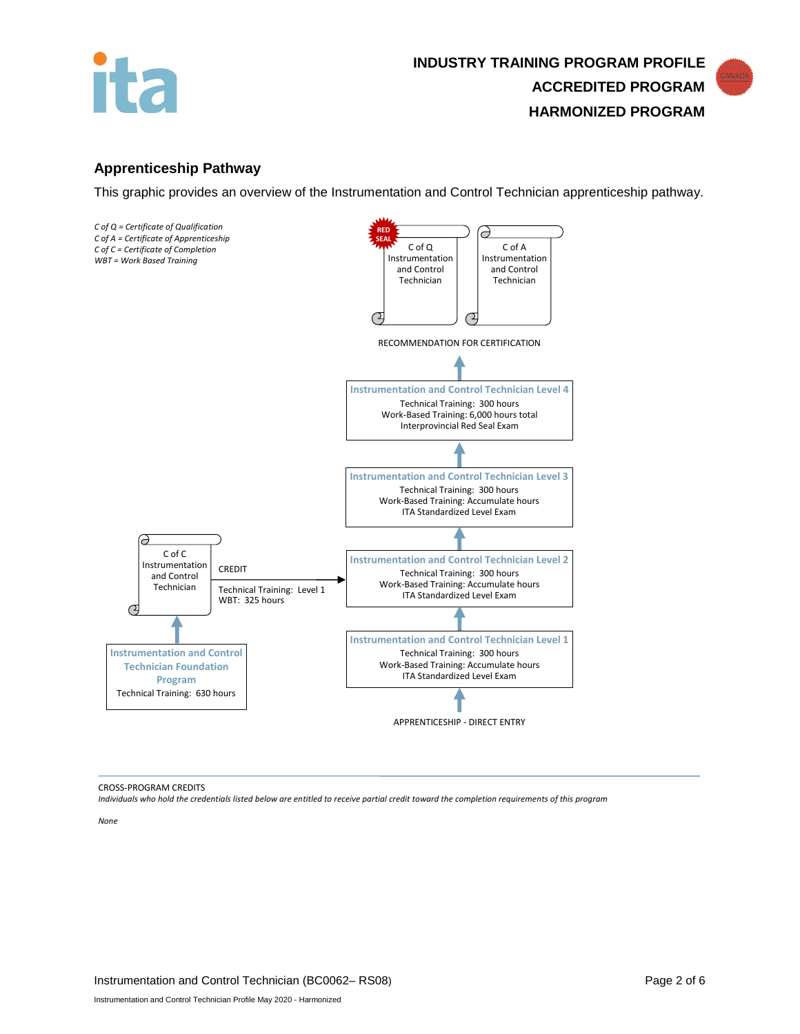



### **Apprenticeship Pathway**

This graphic provides an overview of the Instrumentation and Control Technician apprenticeship pathway.



CROSS-PROGRAM CREDITS

*Individuals who hold the credentials listed below are entitled to receive partial credit toward the completion requirements of this program*

*None*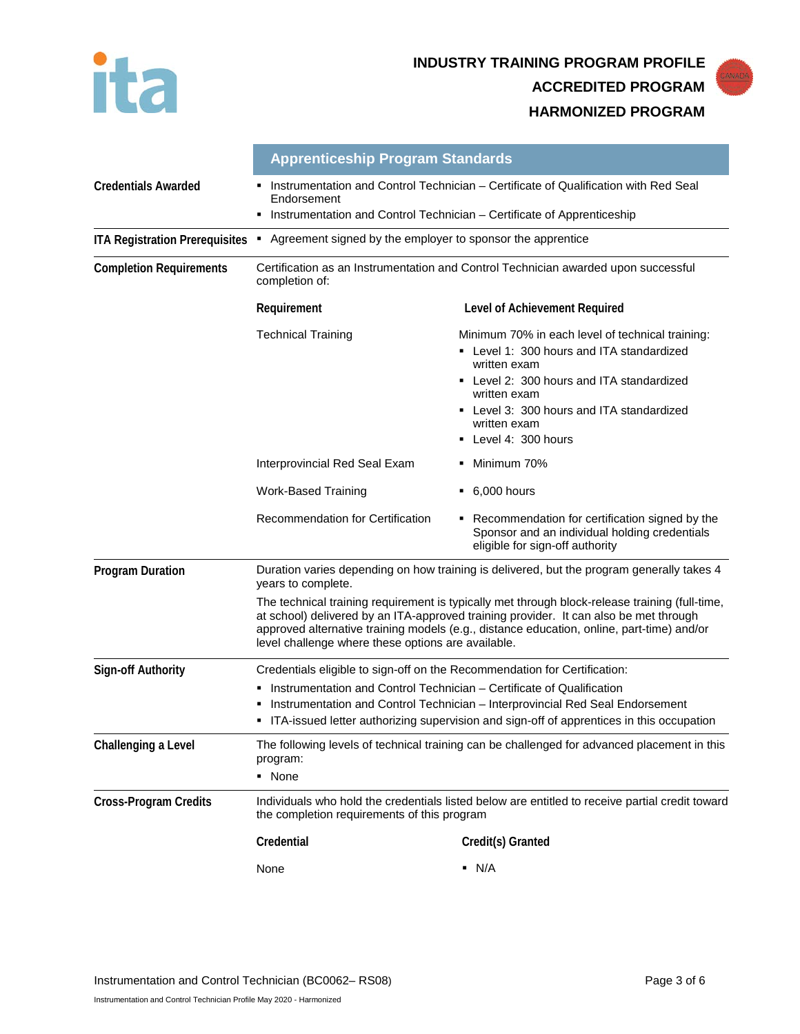



|                                                                             | <b>Apprenticeship Program Standards</b>                                                                                                                                                                                                                                                                                                    |                                                                                                                                                                                                                                                               |  |
|-----------------------------------------------------------------------------|--------------------------------------------------------------------------------------------------------------------------------------------------------------------------------------------------------------------------------------------------------------------------------------------------------------------------------------------|---------------------------------------------------------------------------------------------------------------------------------------------------------------------------------------------------------------------------------------------------------------|--|
| <b>Credentials Awarded</b>                                                  | Instrumentation and Control Technician - Certificate of Qualification with Red Seal<br>Endorsement                                                                                                                                                                                                                                         |                                                                                                                                                                                                                                                               |  |
|                                                                             | • Instrumentation and Control Technician - Certificate of Apprenticeship                                                                                                                                                                                                                                                                   |                                                                                                                                                                                                                                                               |  |
| <b>ITA Registration Prerequisites</b>                                       | • Agreement signed by the employer to sponsor the apprentice                                                                                                                                                                                                                                                                               |                                                                                                                                                                                                                                                               |  |
| <b>Completion Requirements</b>                                              | Certification as an Instrumentation and Control Technician awarded upon successful<br>completion of:                                                                                                                                                                                                                                       |                                                                                                                                                                                                                                                               |  |
|                                                                             | Requirement                                                                                                                                                                                                                                                                                                                                | Level of Achievement Required                                                                                                                                                                                                                                 |  |
|                                                                             | <b>Technical Training</b>                                                                                                                                                                                                                                                                                                                  | Minimum 70% in each level of technical training:<br>• Level 1: 300 hours and ITA standardized<br>written exam<br>• Level 2: 300 hours and ITA standardized<br>written exam<br>• Level 3: 300 hours and ITA standardized<br>written exam<br>Level 4: 300 hours |  |
|                                                                             | Interprovincial Red Seal Exam                                                                                                                                                                                                                                                                                                              | Minimum 70%                                                                                                                                                                                                                                                   |  |
|                                                                             | <b>Work-Based Training</b>                                                                                                                                                                                                                                                                                                                 | $\bullet$ 6,000 hours                                                                                                                                                                                                                                         |  |
|                                                                             | <b>Recommendation for Certification</b>                                                                                                                                                                                                                                                                                                    | • Recommendation for certification signed by the<br>Sponsor and an individual holding credentials<br>eligible for sign-off authority                                                                                                                          |  |
| <b>Program Duration</b>                                                     | Duration varies depending on how training is delivered, but the program generally takes 4<br>years to complete.                                                                                                                                                                                                                            |                                                                                                                                                                                                                                                               |  |
|                                                                             | The technical training requirement is typically met through block-release training (full-time,<br>at school) delivered by an ITA-approved training provider. It can also be met through<br>approved alternative training models (e.g., distance education, online, part-time) and/or<br>level challenge where these options are available. |                                                                                                                                                                                                                                                               |  |
| Sign-off Authority                                                          | Credentials eligible to sign-off on the Recommendation for Certification:                                                                                                                                                                                                                                                                  |                                                                                                                                                                                                                                                               |  |
|                                                                             | Instrumentation and Control Technician – Certificate of Qualification<br>Instrumentation and Control Technician - Interprovincial Red Seal Endorsement<br>• ITA-issued letter authorizing supervision and sign-off of apprentices in this occupation                                                                                       |                                                                                                                                                                                                                                                               |  |
| Challenging a Level                                                         | The following levels of technical training can be challenged for advanced placement in this<br>program:<br>• None                                                                                                                                                                                                                          |                                                                                                                                                                                                                                                               |  |
| <b>Cross-Program Credits</b><br>the completion requirements of this program |                                                                                                                                                                                                                                                                                                                                            | Individuals who hold the credentials listed below are entitled to receive partial credit toward                                                                                                                                                               |  |
|                                                                             | Credential                                                                                                                                                                                                                                                                                                                                 | Credit(s) Granted                                                                                                                                                                                                                                             |  |
|                                                                             | None                                                                                                                                                                                                                                                                                                                                       | $\blacksquare$ N/A                                                                                                                                                                                                                                            |  |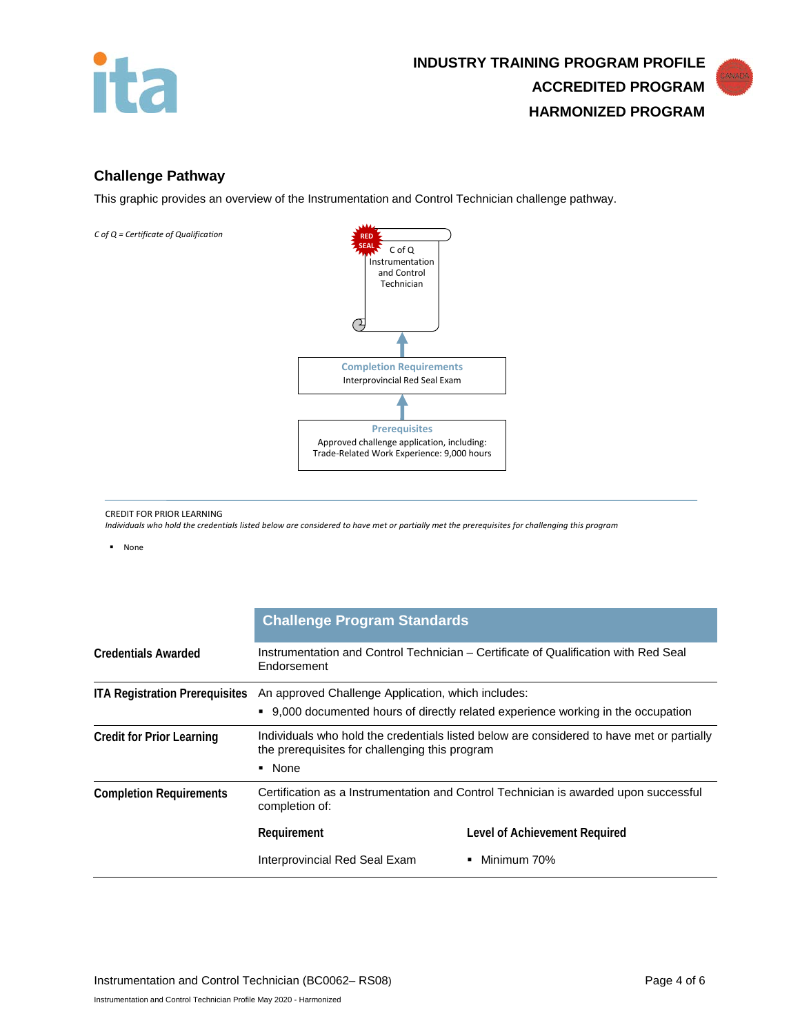

### **Challenge Pathway**

This graphic provides an overview of the Instrumentation and Control Technician challenge pathway.



CREDIT FOR PRIOR LEARNING

*Individuals who hold the credentials listed below are considered to have met or partially met the prerequisites for challenging this program*

None

|                                       | <b>Challenge Program Standards</b>                                                                                                                    |                               |
|---------------------------------------|-------------------------------------------------------------------------------------------------------------------------------------------------------|-------------------------------|
| <b>Credentials Awarded</b>            | Instrumentation and Control Technician – Certificate of Qualification with Red Seal<br>Endorsement                                                    |                               |
| <b>ITA Registration Prerequisites</b> | An approved Challenge Application, which includes:<br>• 9,000 documented hours of directly related experience working in the occupation               |                               |
| <b>Credit for Prior Learning</b>      | Individuals who hold the credentials listed below are considered to have met or partially<br>the prerequisites for challenging this program<br>• None |                               |
| <b>Completion Requirements</b>        | Certification as a Instrumentation and Control Technician is awarded upon successful<br>completion of:                                                |                               |
|                                       | Requirement                                                                                                                                           | Level of Achievement Required |
|                                       | Interprovincial Red Seal Exam                                                                                                                         | Minimum 70%<br>٠              |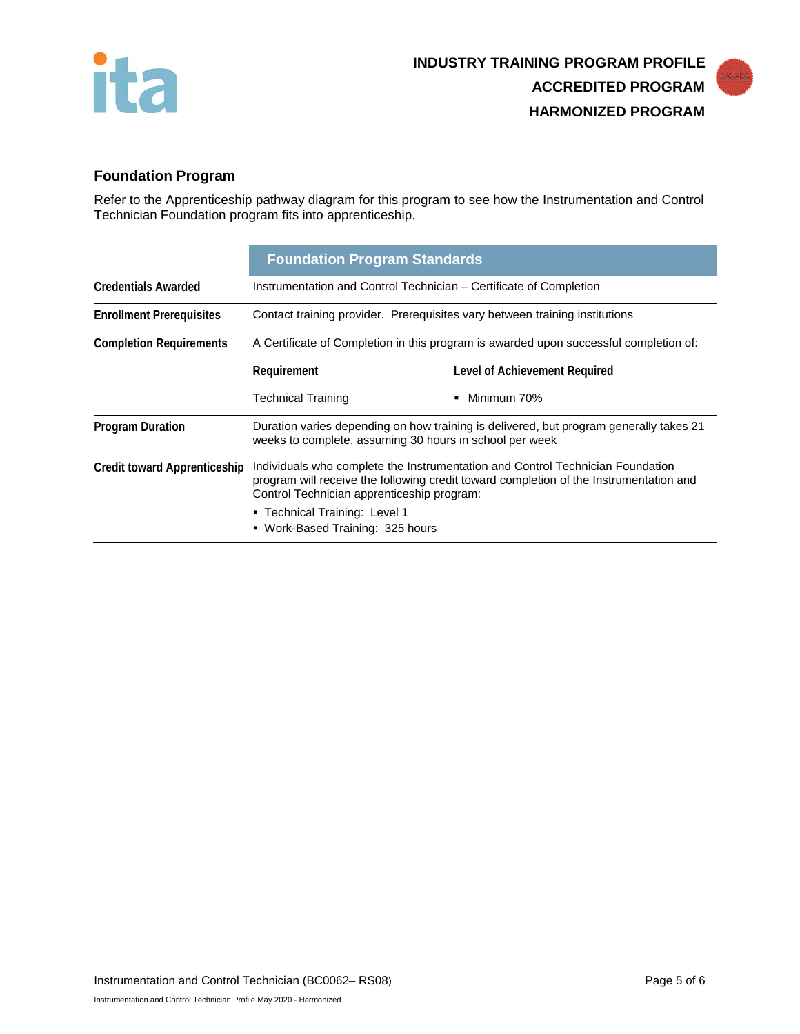



# **Foundation Program**

Refer to the Apprenticeship pathway diagram for this program to see how the Instrumentation and Control Technician Foundation program fits into apprenticeship.

|                                     | <b>Foundation Program Standards</b>                                                                                                                                                                                    |                               |  |
|-------------------------------------|------------------------------------------------------------------------------------------------------------------------------------------------------------------------------------------------------------------------|-------------------------------|--|
| <b>Credentials Awarded</b>          | Instrumentation and Control Technician – Certificate of Completion                                                                                                                                                     |                               |  |
| <b>Enrollment Prerequisites</b>     | Contact training provider. Prerequisites vary between training institutions                                                                                                                                            |                               |  |
| <b>Completion Requirements</b>      | A Certificate of Completion in this program is awarded upon successful completion of:                                                                                                                                  |                               |  |
|                                     | Requirement                                                                                                                                                                                                            | Level of Achievement Required |  |
|                                     | <b>Technical Training</b>                                                                                                                                                                                              | Minimum 70%<br>٠              |  |
| <b>Program Duration</b>             | Duration varies depending on how training is delivered, but program generally takes 21<br>weeks to complete, assuming 30 hours in school per week                                                                      |                               |  |
| <b>Credit toward Apprenticeship</b> | Individuals who complete the Instrumentation and Control Technician Foundation<br>program will receive the following credit toward completion of the Instrumentation and<br>Control Technician apprenticeship program: |                               |  |
|                                     | ■ Technical Training: Level 1<br>• Work-Based Training: 325 hours                                                                                                                                                      |                               |  |
|                                     |                                                                                                                                                                                                                        |                               |  |